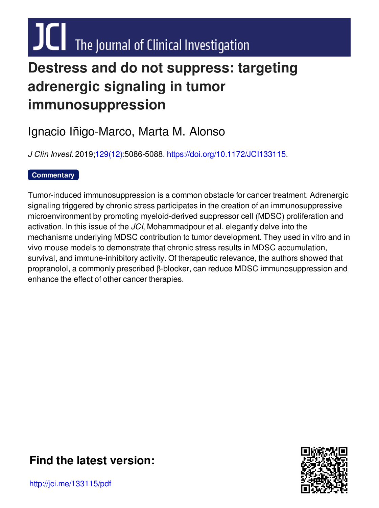# $JCl$  The Journal of Clinical Investigation

## **Destress and do not suppress: targeting adrenergic signaling in tumor immunosuppression**

## Ignacio Iñigo-Marco, Marta M. Alonso

*J Clin Invest.* 2019[;129\(12\)](http://www.jci.org/129/12?utm_campaign=cover-page&utm_medium=pdf&utm_source=content):5086-5088. [https://doi.org/10.1172/JCI133115.](https://doi.org/10.1172/JCI133115)

### **[Commentary](http://www.jci.org/tags/44?utm_campaign=cover-page&utm_medium=pdf&utm_source=content)**

Tumor-induced immunosuppression is a common obstacle for cancer treatment. Adrenergic signaling triggered by chronic stress participates in the creation of an immunosuppressive microenvironment by promoting myeloid-derived suppressor cell (MDSC) proliferation and activation. In this issue of the *JCI*, Mohammadpour et al. elegantly delve into the mechanisms underlying MDSC contribution to tumor development. They used in vitro and in vivo mouse models to demonstrate that chronic stress results in MDSC accumulation, survival, and immune-inhibitory activity. Of therapeutic relevance, the authors showed that propranolol, a commonly prescribed  $\beta$ -blocker, can reduce MDSC immunosuppression and enhance the effect of other cancer therapies.



## **Find the [latest](http://jci.me/133115/pdf) version:**

http://jci.me/133115/pdf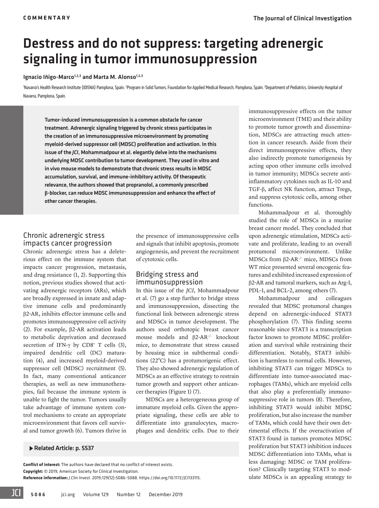## Destress and do not suppress: targeting adrenergic signaling in tumor immunosuppression

#### Ignacio Iñigo-Marco<sup>1,2,3</sup> and Marta M. Alonso<sup>1,2,3</sup>

'Navarra's Health Research Institute (IDISNA) Pamplona, Spain. <sup>2</sup>Program in Solid Tumors, Foundation for Applied Medical Research, Pamplona, Spain. <sup>3</sup>Department of Pediatrics, University Hospital of Navarra, Pamplona, Spain.

Tumor-induced immunosuppression is a common obstacle for cancer treatment. Adrenergic signaling triggered by chronic stress participates in the creation of an immunosuppressive microenvironment by promoting myeloid-derived suppressor cell (MDSC) proliferation and activation. In this issue of the *JCI*, Mohammadpour et al. elegantly delve into the mechanisms underlying MDSC contribution to tumor development. They used in vitro and in vivo mouse models to demonstrate that chronic stress results in MDSC accumulation, survival, and immune-inhibitory activity. Of therapeutic relevance, the authors showed that propranolol, a commonly prescribed **β**-blocker, can reduce MDSC immunosuppression and enhance the effect of other cancer therapies.

#### Chronic adrenergic stress impacts cancer progression

Chronic adrenergic stress has a deleterious effect on the immune system that impacts cancer progression, metastasis, and drug resistance [\(1,](#page-3-0) [2](#page-3-1)). Supporting this notion, previous studies showed that activating adrenergic receptors (ARs), which are broadly expressed in innate and adaptive immune cells and predominantly β2-AR, inhibits effector immune cells and promotes immunosuppressive cell activity [\(2](#page-3-1)). For example, β2-AR activation leads to metabolic deprivation and decreased secretion of IFN- $\gamma$  by CD8<sup>+</sup> T cells [\(3\)](#page-3-2), impaired dendritic cell (DC) maturation [\(4](#page-3-3)), and increased myeloid-derived suppressor cell (MDSC) recruitment [\(5\)](#page-3-4). In fact, many conventional anticancer therapies, as well as new immunotherapies, fail because the immune system is unable to fight the tumor. Tumors usually take advantage of immune system control mechanisms to create an appropriate microenvironment that favors cell survival and tumor growth ([6\)](#page-3-5). Tumors thrive in

the presence of immunosuppressive cells and signals that inhibit apoptosis, promote angiogenesis, and prevent the recruitment of cytotoxic cells.

#### Bridging stress and immunosuppression

In this issue of the *JCI*, Mohammadpour et al. ([7\)](#page-3-6) go a step further to bridge stress and immunosuppression, dissecting the functional link between adrenergic stress and MDSCs in tumor development. The authors used orthotopic breast cancer mouse models and β2-AR–/– knockout mice, to demonstrate that stress caused by housing mice in subthermal conditions (22°C) has a protumorigenic effect. They also showed adrenergic regulation of MDSCs as an effective strategy to restrain tumor growth and support other anticancer therapies [\(Figure 1\)](#page-2-0) ([7\)](#page-3-6).

MDSCs are a heterogeneous group of immature myeloid cells. Given the appropriate signaling, these cells are able to differentiate into granulocytes, macrophages and dendritic cells. Due to their

Related Article: p. 5537

**Conflict of interest:** The authors have declared that no conflict of interest exists. **Copyright:** © 2019, American Society for Clinical Investigation. **Reference information:** *J Clin Invest*. 2019;129(12):5086–5088. https://doi.org[/10.1172/JCI133115](https://doi.org/10.1172/JCI133115).

immunosuppressive effects on the tumor microenvironment (TME) and their ability to promote tumor growth and dissemination, MDSCs are attracting much attention in cancer research. Aside from their direct immunosuppressive effects, they also indirectly promote tumorigenesis by acting upon other immune cells involved in tumor immunity; MDSCs secrete antiinflammatory cytokines such as IL-10 and TGF-β, affect NK function, attract Tregs, and suppress cytotoxic cells, among other functions.

Mohammadpour et al. thoroughly studied the role of MDSCs in a murine breast cancer model. They concluded that upon adrenergic stimulation, MDSCs activate and proliferate, leading to an overall protumoral microenvironment. Unlike MDSCs from  $β2-AR^{-/-}$  mice, MDSCs from WT mice presented several oncogenic features and exhibited increased expression of β2-AR and tumoral markers, such as Arg-I, PDL-1, and BCL-2, among others ([7\)](#page-3-6).

Mohammadpour and colleagues revealed that MDSC protumoral changes depend on adrenergic-induced STAT3 phosphorylation ([7](#page-3-6)). This finding seems reasonable since STAT3 is a transcription factor known to promote MDSC proliferation and survival while restraining their differentiation. Notably, STAT3 inhibition is harmless to normal cells. However, inhibiting STAT3 can trigger MDSCs to differentiate into tumor-associated macrophages (TAMs), which are myeloid cells that also play a preferentially immunosuppressive role in tumors [\(8\)](#page-3-7). Therefore, inhibiting STAT3 would inhibit MDSC proliferation, but also increase the number of TAMs, which could have their own detrimental effects. If the overactivation of STAT3 found in tumors promotes MDSC proliferation but STAT3 inhibition induces MDSC differentiation into TAMs, what is less damaging: MDSC or TAM proliferation? Clinically targeting STAT3 to modulate MDSCs is an appealing strategy to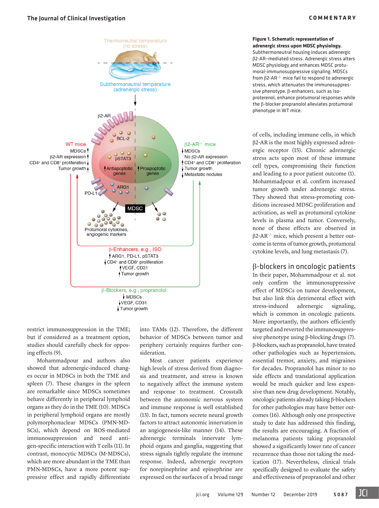#### <span id="page-2-0"></span>[The Journal of Clinical Investigation](https://www.jci.org) **COMMENTARY**



restrict immunosuppression in the TME; but if considered as a treatment option, studies should carefully check for opposing effects ([9\)](#page-3-14).

Mohammadpour and authors also showed that adrenergic-induced changes occur in MDSCs in both the TME and spleen ([7\)](#page-3-6). These changes in the spleen are remarkable since MDSCs sometimes behave differently in peripheral lymphoid organs as they do in the TME [\(10\)](#page-3-15). MDSCs in peripheral lymphoid organs are mostly polymorphonuclear MDSCs (PMN-MD-SCs), which depend on ROS-mediated immunosuppression and need antigen-specific interaction with T cells ([11](#page-3-16)). In contrast, monocytic MDSCs (M-MDSCs), which are more abundant in the TME than PMN-MDSCs, have a more potent suppressive effect and rapidly differentiate into TAMs [\(12\)](#page-3-11). Therefore, the different behavior of MDSCs between tumor and periphery certainly requires further consideration.

Most cancer patients experience high levels of stress derived from diagnosis and treatment, and stress is known to negatively affect the immune system and response to treatment. Crosstalk between the autonomic nervous system and immune response is well established ([13\)](#page-3-12). In fact, tumors secrete neural growth factors to attract autonomic innervation in an angiogenesis-like manner ([14](#page-3-13)). These adrenergic terminals innervate lymphoid organs and ganglia, suggesting that stress signals tightly regulate the immune response. Indeed, adrenergic receptors for norepinephrine and epinephrine are expressed on the surfaces of a broad range

[jci.org](https://www.jci.org) [Volume 129 Number 12 December 2019](https://www.jci.org/129/12) 5087

#### **Figure 1. Schematic representation of adrenergic stress upon MDSC physiology.** Subthermoneutral housing induces adrenergic

β2-AR–mediated stress. Adrenergic stress alters MDSC physiology and enhances MDSC protumoral-immunosuppressive signaling. MDSCs from β2-AR–/– mice fail to respond to adrenergic stress, which attenuates the immunosuppressive phenotype. β-enhancers, such as isoproterenol, enhance protumoral responses while the β-blocker propranolol alleviates protumoral phenotype in WT mice.

of cells, including immune cells, in which β2-AR is the most highly expressed adrenergic receptor ([15\)](#page-3-8). Chronic adrenergic stress acts upon most of these immune cell types, compromising their function and leading to a poor patient outcome [\(1\)](#page-3-0). Mohammadpour et al. confirm increased tumor growth under adrenergic stress. They showed that stress-promoting conditions increased MDSC proliferation and activation, as well as protumoral cytokine levels in plasma and tumor. Conversely, none of these effects are observed in  $\beta$ 2-AR<sup>-/-</sup> mice, which present a better outcome in terms of tumor growth, protumoral cytokine levels, and lung metastasis ([7](#page-3-6)).

#### β-blockers in oncologic patients

In their paper, Mohammadpour et al. not only confirm the immunosuppressive effect of MDSCs on tumor development, but also link this detrimental effect with stress-induced adrenergic signaling, which is common in oncologic patients. More importantly, the authors efficiently targeted and reverted the immunosuppressive phenotype using β-blocking drugs ([7\)](#page-3-6). β-blockers, such as propranolol, have treated other pathologies such as hypertension, essential tremor, anxiety, and migraines for decades. Propranolol has minor to no side effects and translational application would be much quicker and less expensive than new drug development. Notably, oncologic patients already taking β-blockers for other pathologies may have better outcomes [\(16\)](#page-3-9). Although only one prospective study to date has addressed this finding, the results are encouraging. A fraction of melanoma patients taking propranolol showed a significantly lower rate of cancer recurrence than those not taking the medication ([17](#page-3-10)). Nevertheless, clinical trials specifically designed to evaluate the safety and effectiveness of propranolol and other